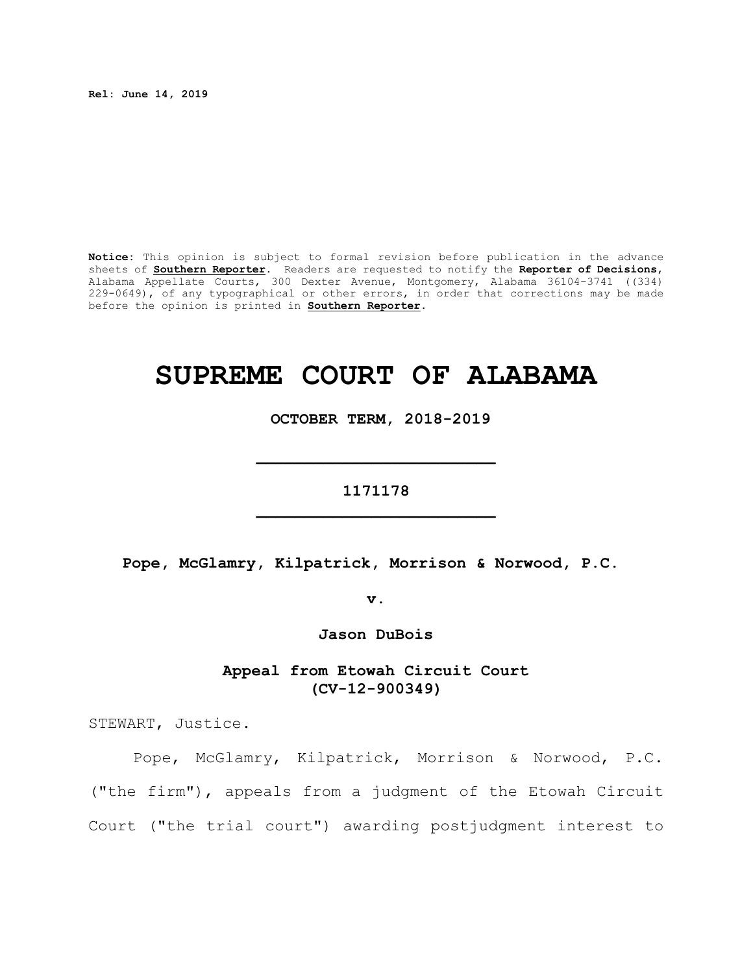**Rel: June 14, 2019**

**Notice:** This opinion is subject to formal revision before publication in the advance sheets of **Southern Reporter**. Readers are requested to notify the **Reporter of Decisions**, Alabama Appellate Courts, 300 Dexter Avenue, Montgomery, Alabama 36104-3741 ((334) 229-0649), of any typographical or other errors, in order that corrections may be made before the opinion is printed in **Southern Reporter**.

# **SUPREME COURT OF ALABAMA**

 **OCTOBER TERM, 2018-2019**

**1171178 \_\_\_\_\_\_\_\_\_\_\_\_\_\_\_\_\_\_\_\_\_\_\_\_\_**

**\_\_\_\_\_\_\_\_\_\_\_\_\_\_\_\_\_\_\_\_\_\_\_\_\_**

**Pope, McGlamry, Kilpatrick, Morrison & Norwood, P.C.** 

**v.**

**Jason DuBois**

**Appeal from Etowah Circuit Court (CV-12-900349)**

STEWART, Justice.

Pope, McGlamry, Kilpatrick, Morrison & Norwood, P.C. ("the firm"), appeals from a judgment of the Etowah Circuit Court ("the trial court") awarding postjudgment interest to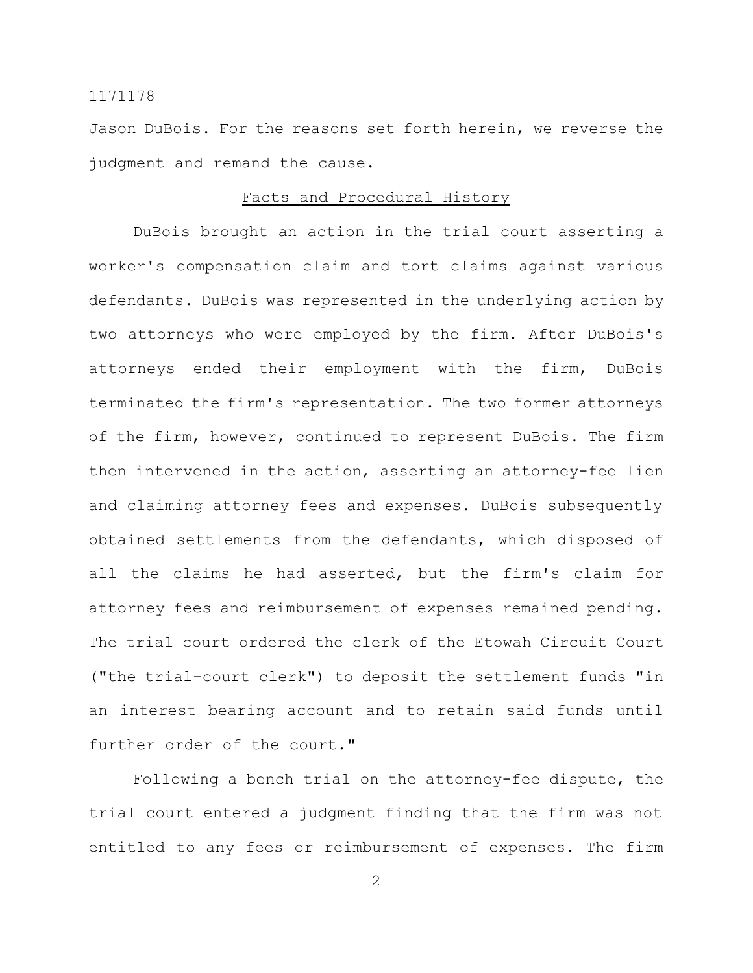Jason DuBois. For the reasons set forth herein, we reverse the judgment and remand the cause.

#### Facts and Procedural History

DuBois brought an action in the trial court asserting a worker's compensation claim and tort claims against various defendants. DuBois was represented in the underlying action by two attorneys who were employed by the firm. After DuBois's attorneys ended their employment with the firm, DuBois terminated the firm's representation. The two former attorneys of the firm, however, continued to represent DuBois. The firm then intervened in the action, asserting an attorney-fee lien and claiming attorney fees and expenses. DuBois subsequently obtained settlements from the defendants, which disposed of all the claims he had asserted, but the firm's claim for attorney fees and reimbursement of expenses remained pending. The trial court ordered the clerk of the Etowah Circuit Court ("the trial-court clerk") to deposit the settlement funds "in an interest bearing account and to retain said funds until further order of the court."

Following a bench trial on the attorney-fee dispute, the trial court entered a judgment finding that the firm was not entitled to any fees or reimbursement of expenses. The firm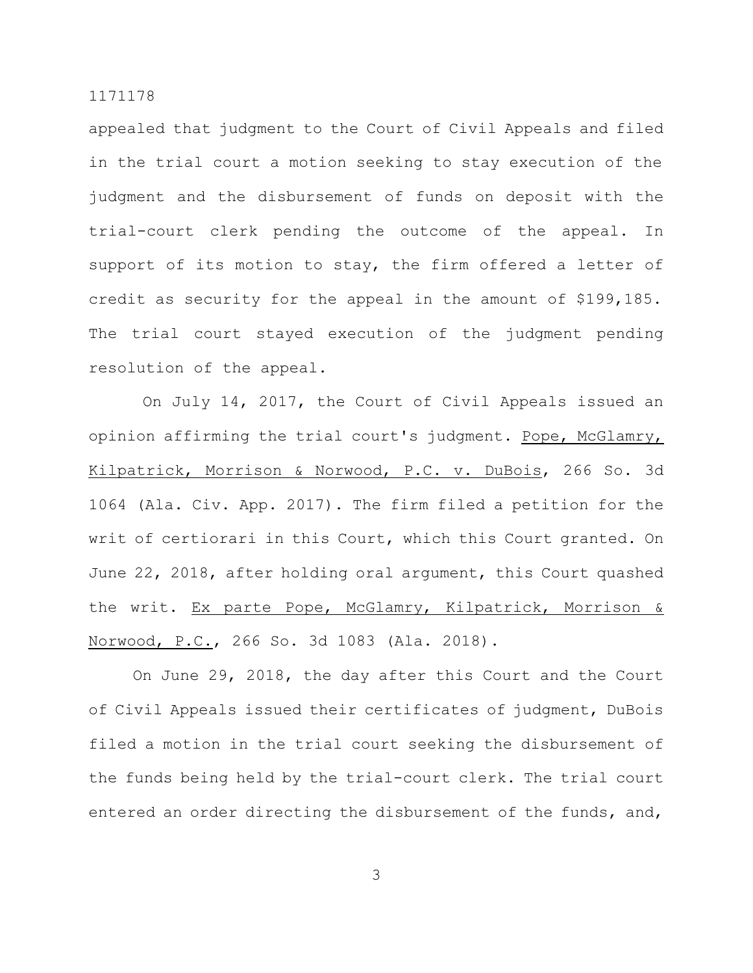appealed that judgment to the Court of Civil Appeals and filed in the trial court a motion seeking to stay execution of the judgment and the disbursement of funds on deposit with the trial-court clerk pending the outcome of the appeal. In support of its motion to stay, the firm offered a letter of credit as security for the appeal in the amount of \$199,185. The trial court stayed execution of the judgment pending resolution of the appeal.

On July 14, 2017, the Court of Civil Appeals issued an opinion affirming the trial court's judgment. Pope, McGlamry, Kilpatrick, Morrison & Norwood, P.C. v. DuBois, 266 So. 3d 1064 (Ala. Civ. App. 2017). The firm filed a petition for the writ of certiorari in this Court, which this Court granted. On June 22, 2018, after holding oral argument, this Court quashed the writ. Ex parte Pope, McGlamry, Kilpatrick, Morrison & Norwood, P.C., 266 So. 3d 1083 (Ala. 2018).

On June 29, 2018, the day after this Court and the Court of Civil Appeals issued their certificates of judgment, DuBois filed a motion in the trial court seeking the disbursement of the funds being held by the trial-court clerk. The trial court entered an order directing the disbursement of the funds, and,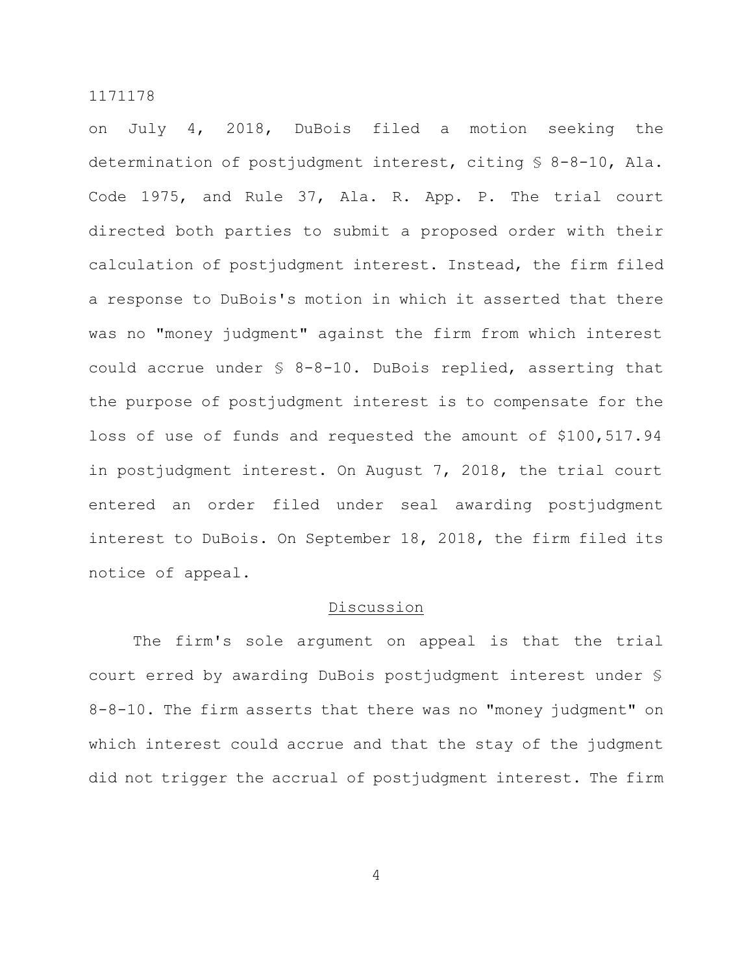on July 4, 2018, DuBois filed a motion seeking the determination of postjudgment interest, citing § 8-8-10, Ala. Code 1975, and Rule 37, Ala. R. App. P. The trial court directed both parties to submit a proposed order with their calculation of postjudgment interest. Instead, the firm filed a response to DuBois's motion in which it asserted that there was no "money judgment" against the firm from which interest could accrue under § 8-8-10. DuBois replied, asserting that the purpose of postjudgment interest is to compensate for the loss of use of funds and requested the amount of \$100,517.94 in postjudgment interest. On August 7, 2018, the trial court entered an order filed under seal awarding postjudgment interest to DuBois. On September 18, 2018, the firm filed its notice of appeal.

### Discussion

The firm's sole argument on appeal is that the trial court erred by awarding DuBois postjudgment interest under § 8-8-10. The firm asserts that there was no "money judgment" on which interest could accrue and that the stay of the judgment did not trigger the accrual of postjudgment interest. The firm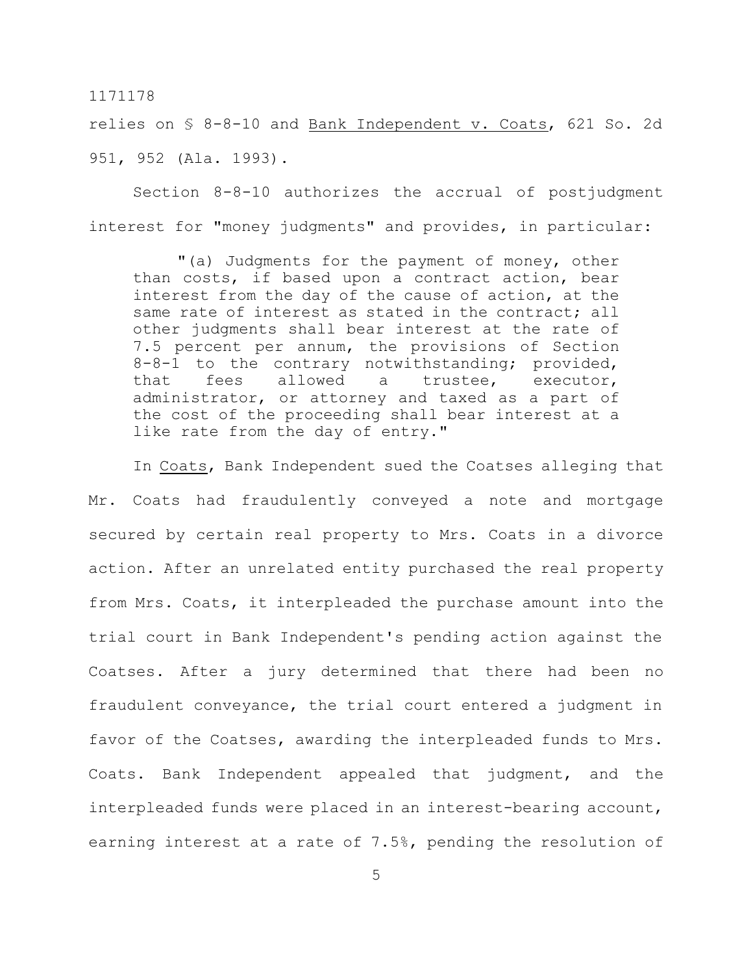relies on § 8-8-10 and Bank Independent v. Coats, 621 So. 2d 951, 952 (Ala. 1993).

Section 8-8-10 authorizes the accrual of postjudgment interest for "money judgments" and provides, in particular:

"(a) Judgments for the payment of money, other than costs, if based upon a contract action, bear interest from the day of the cause of action, at the same rate of interest as stated in the contract; all other judgments shall bear interest at the rate of 7.5 percent per annum, the provisions of Section 8-8-1 to the contrary notwithstanding; provided, that fees allowed a trustee, executor, administrator, or attorney and taxed as a part of the cost of the proceeding shall bear interest at a like rate from the day of entry."

In Coats, Bank Independent sued the Coatses alleging that Mr. Coats had fraudulently conveyed a note and mortgage secured by certain real property to Mrs. Coats in a divorce action. After an unrelated entity purchased the real property from Mrs. Coats, it interpleaded the purchase amount into the trial court in Bank Independent's pending action against the Coatses. After a jury determined that there had been no fraudulent conveyance, the trial court entered a judgment in favor of the Coatses, awarding the interpleaded funds to Mrs. Coats. Bank Independent appealed that judgment, and the interpleaded funds were placed in an interest-bearing account, earning interest at a rate of 7.5%, pending the resolution of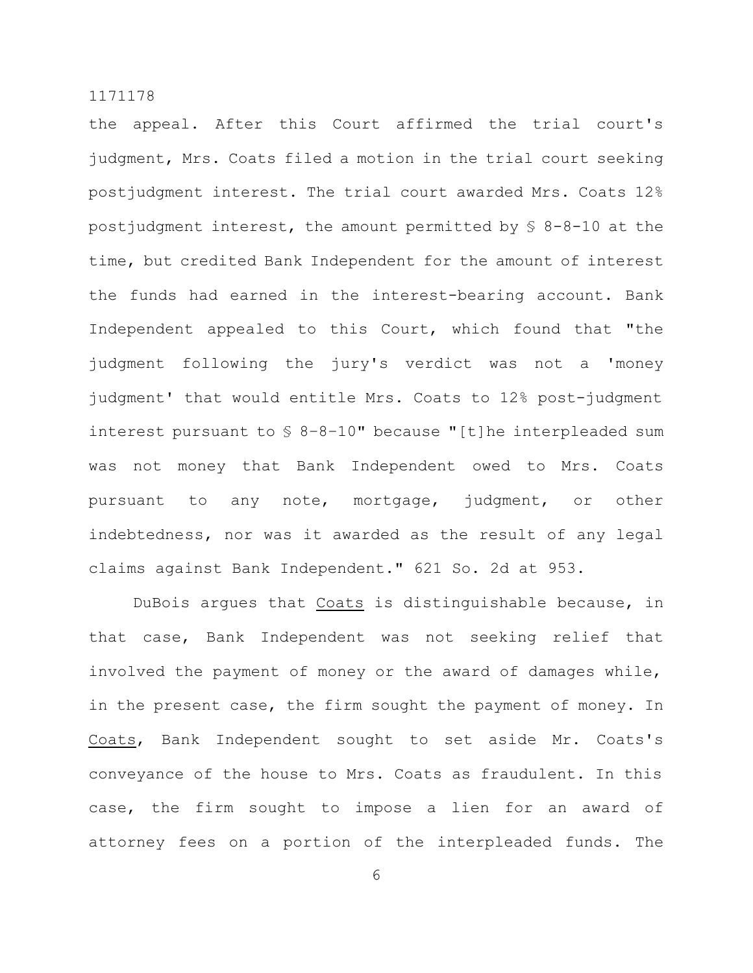the appeal. After this Court affirmed the trial court's judgment, Mrs. Coats filed a motion in the trial court seeking postjudgment interest. The trial court awarded Mrs. Coats 12% postjudgment interest, the amount permitted by § 8-8-10 at the time, but credited Bank Independent for the amount of interest the funds had earned in the interest-bearing account. Bank Independent appealed to this Court, which found that "the judgment following the jury's verdict was not a 'money judgment' that would entitle Mrs. Coats to 12% post-judgment interest pursuant to § 8–8–10" because "[t]he interpleaded sum was not money that Bank Independent owed to Mrs. Coats pursuant to any note, mortgage, judgment, or other indebtedness, nor was it awarded as the result of any legal claims against Bank Independent." 621 So. 2d at 953.

DuBois argues that Coats is distinguishable because, in that case, Bank Independent was not seeking relief that involved the payment of money or the award of damages while, in the present case, the firm sought the payment of money. In Coats, Bank Independent sought to set aside Mr. Coats's conveyance of the house to Mrs. Coats as fraudulent. In this case, the firm sought to impose a lien for an award of attorney fees on a portion of the interpleaded funds. The